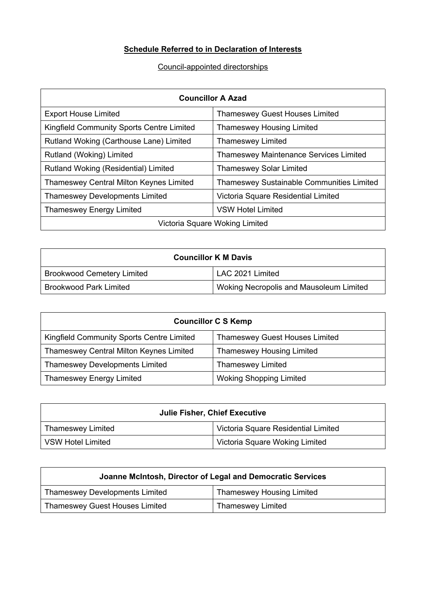## **Schedule Referred to in Declaration of Interests**

## Council-appointed directorships

| <b>Councillor A Azad</b>                       |                                               |  |
|------------------------------------------------|-----------------------------------------------|--|
| <b>Export House Limited</b>                    | <b>Thameswey Guest Houses Limited</b>         |  |
| Kingfield Community Sports Centre Limited      | <b>Thameswey Housing Limited</b>              |  |
| Rutland Woking (Carthouse Lane) Limited        | <b>Thameswey Limited</b>                      |  |
| Rutland (Woking) Limited                       | <b>Thameswey Maintenance Services Limited</b> |  |
| Rutland Woking (Residential) Limited           | Thameswey Solar Limited                       |  |
| <b>Thameswey Central Milton Keynes Limited</b> | Thameswey Sustainable Communities Limited     |  |
| <b>Thameswey Developments Limited</b>          | Victoria Square Residential Limited           |  |
| <b>Thameswey Energy Limited</b>                | <b>VSW Hotel Limited</b>                      |  |
| Victoria Square Woking Limited                 |                                               |  |

| <b>Councillor K M Davis</b>       |                                         |  |
|-----------------------------------|-----------------------------------------|--|
| <b>Brookwood Cemetery Limited</b> | LAC 2021 Limited                        |  |
| <b>Brookwood Park Limited</b>     | Woking Necropolis and Mausoleum Limited |  |

| <b>Councillor C S Kemp</b>                |                                       |  |
|-------------------------------------------|---------------------------------------|--|
| Kingfield Community Sports Centre Limited | <b>Thameswey Guest Houses Limited</b> |  |
| Thameswey Central Milton Keynes Limited   | <b>Thameswey Housing Limited</b>      |  |
| <b>Thameswey Developments Limited</b>     | <b>Thameswey Limited</b>              |  |
| <b>Thameswey Energy Limited</b>           | <b>Woking Shopping Limited</b>        |  |

| <b>Julie Fisher, Chief Executive</b> |                                            |
|--------------------------------------|--------------------------------------------|
| Thameswey Limited                    | <b>Victoria Square Residential Limited</b> |
| l VSW Hotel Limited                  | Victoria Square Woking Limited             |

| Joanne McIntosh, Director of Legal and Democratic Services |                                  |  |
|------------------------------------------------------------|----------------------------------|--|
| <b>Thameswey Developments Limited</b>                      | <b>Thameswey Housing Limited</b> |  |
| <b>Thameswey Guest Houses Limited</b>                      | <b>Thameswey Limited</b>         |  |